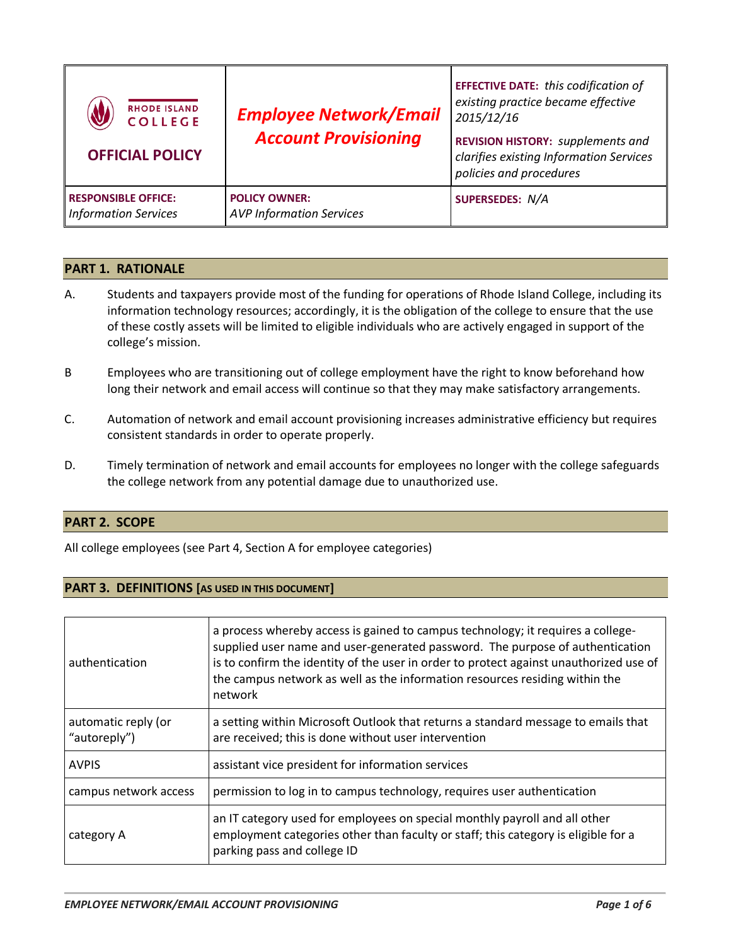| <b>RHODE ISLAND</b><br><b>COLLEGE</b><br><b>OFFICIAL POLICY</b> | <b>Employee Network/Email</b><br><b>Account Provisioning</b> | <b>EFFECTIVE DATE: this codification of</b><br>existing practice became effective<br>2015/12/16<br><b>REVISION HISTORY:</b> supplements and<br>clarifies existing Information Services<br>policies and procedures |
|-----------------------------------------------------------------|--------------------------------------------------------------|-------------------------------------------------------------------------------------------------------------------------------------------------------------------------------------------------------------------|
| <b>RESPONSIBLE OFFICE:</b><br><b>Information Services</b>       | <b>POLICY OWNER:</b><br><b>AVP Information Services</b>      | SUPERSEDES: N/A                                                                                                                                                                                                   |

# **PART 1. RATIONALE**

- A. Students and taxpayers provide most of the funding for operations of Rhode Island College, including its information technology resources; accordingly, it is the obligation of the college to ensure that the use of these costly assets will be limited to eligible individuals who are actively engaged in support of the college's mission.
- B Employees who are transitioning out of college employment have the right to know beforehand how long their network and email access will continue so that they may make satisfactory arrangements.
- C. Automation of network and email account provisioning increases administrative efficiency but requires consistent standards in order to operate properly.
- D. Timely termination of network and email accounts for employees no longer with the college safeguards the college network from any potential damage due to unauthorized use.

#### **PART 2. SCOPE**

All college employees (see Part 4, Section A for employee categories)

## **PART 3. DEFINITIONS [AS USED IN THIS DOCUMENT]**

| authentication                      | a process whereby access is gained to campus technology; it requires a college-<br>supplied user name and user-generated password. The purpose of authentication<br>is to confirm the identity of the user in order to protect against unauthorized use of<br>the campus network as well as the information resources residing within the<br>network |
|-------------------------------------|------------------------------------------------------------------------------------------------------------------------------------------------------------------------------------------------------------------------------------------------------------------------------------------------------------------------------------------------------|
| automatic reply (or<br>"autoreply") | a setting within Microsoft Outlook that returns a standard message to emails that<br>are received; this is done without user intervention                                                                                                                                                                                                            |
| <b>AVPIS</b>                        | assistant vice president for information services                                                                                                                                                                                                                                                                                                    |
| campus network access               | permission to log in to campus technology, requires user authentication                                                                                                                                                                                                                                                                              |
| category A                          | an IT category used for employees on special monthly payroll and all other<br>employment categories other than faculty or staff; this category is eligible for a<br>parking pass and college ID                                                                                                                                                      |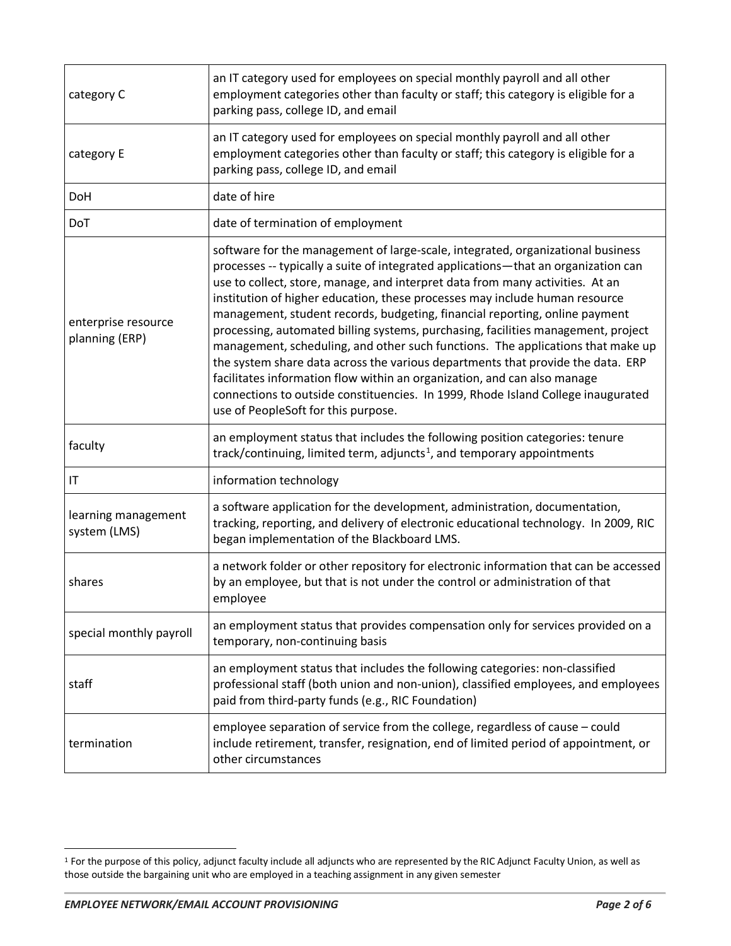| category C                            | an IT category used for employees on special monthly payroll and all other<br>employment categories other than faculty or staff; this category is eligible for a<br>parking pass, college ID, and email                                                                                                                                                                                                                                                                                                                                                                                                                                                                                                                                                                                                                                                                                |  |
|---------------------------------------|----------------------------------------------------------------------------------------------------------------------------------------------------------------------------------------------------------------------------------------------------------------------------------------------------------------------------------------------------------------------------------------------------------------------------------------------------------------------------------------------------------------------------------------------------------------------------------------------------------------------------------------------------------------------------------------------------------------------------------------------------------------------------------------------------------------------------------------------------------------------------------------|--|
| category E                            | an IT category used for employees on special monthly payroll and all other<br>employment categories other than faculty or staff; this category is eligible for a<br>parking pass, college ID, and email                                                                                                                                                                                                                                                                                                                                                                                                                                                                                                                                                                                                                                                                                |  |
| <b>DoH</b>                            | date of hire                                                                                                                                                                                                                                                                                                                                                                                                                                                                                                                                                                                                                                                                                                                                                                                                                                                                           |  |
| DoT                                   | date of termination of employment                                                                                                                                                                                                                                                                                                                                                                                                                                                                                                                                                                                                                                                                                                                                                                                                                                                      |  |
| enterprise resource<br>planning (ERP) | software for the management of large-scale, integrated, organizational business<br>processes -- typically a suite of integrated applications-that an organization can<br>use to collect, store, manage, and interpret data from many activities. At an<br>institution of higher education, these processes may include human resource<br>management, student records, budgeting, financial reporting, online payment<br>processing, automated billing systems, purchasing, facilities management, project<br>management, scheduling, and other such functions. The applications that make up<br>the system share data across the various departments that provide the data. ERP<br>facilitates information flow within an organization, and can also manage<br>connections to outside constituencies. In 1999, Rhode Island College inaugurated<br>use of PeopleSoft for this purpose. |  |
| faculty                               | an employment status that includes the following position categories: tenure<br>track/continuing, limited term, adjuncts <sup>1</sup> , and temporary appointments                                                                                                                                                                                                                                                                                                                                                                                                                                                                                                                                                                                                                                                                                                                     |  |
| IT                                    | information technology                                                                                                                                                                                                                                                                                                                                                                                                                                                                                                                                                                                                                                                                                                                                                                                                                                                                 |  |
| learning management<br>system (LMS)   | a software application for the development, administration, documentation,<br>tracking, reporting, and delivery of electronic educational technology. In 2009, RIC<br>began implementation of the Blackboard LMS.                                                                                                                                                                                                                                                                                                                                                                                                                                                                                                                                                                                                                                                                      |  |
| shares                                | a network folder or other repository for electronic information that can be accessed<br>by an employee, but that is not under the control or administration of that<br>employee                                                                                                                                                                                                                                                                                                                                                                                                                                                                                                                                                                                                                                                                                                        |  |
| special monthly payroll               | an employment status that provides compensation only for services provided on a<br>temporary, non-continuing basis                                                                                                                                                                                                                                                                                                                                                                                                                                                                                                                                                                                                                                                                                                                                                                     |  |
| staff                                 | an employment status that includes the following categories: non-classified<br>professional staff (both union and non-union), classified employees, and employees<br>paid from third-party funds (e.g., RIC Foundation)                                                                                                                                                                                                                                                                                                                                                                                                                                                                                                                                                                                                                                                                |  |
| termination                           | employee separation of service from the college, regardless of cause - could<br>include retirement, transfer, resignation, end of limited period of appointment, or<br>other circumstances                                                                                                                                                                                                                                                                                                                                                                                                                                                                                                                                                                                                                                                                                             |  |

 $\overline{a}$ 

<span id="page-1-0"></span><sup>&</sup>lt;sup>1</sup> For the purpose of this policy, adjunct faculty include all adjuncts who are represented by the RIC Adjunct Faculty Union, as well as those outside the bargaining unit who are employed in a teaching assignment in any given semester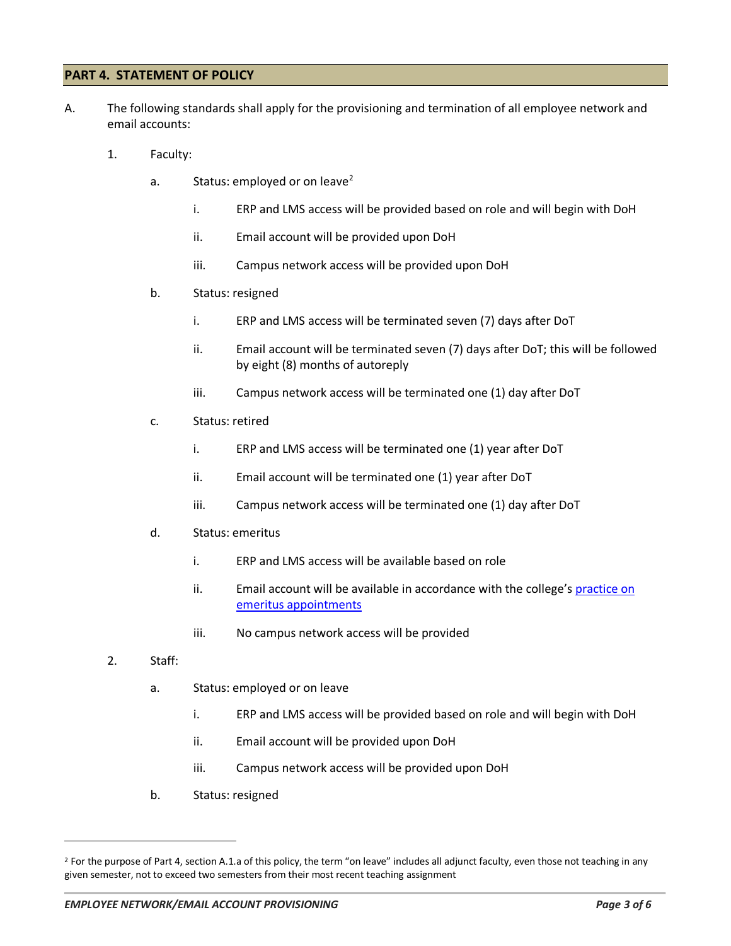#### **PART 4. STATEMENT OF POLICY**

- A. The following standards shall apply for the provisioning and termination of all employee network and email accounts:
	- 1. Faculty:
		- a. Status: employed or on leave<sup>[2](#page-2-0)</sup>
			- i. ERP and LMS access will be provided based on role and will begin with DoH
			- ii. Email account will be provided upon DoH
			- iii. Campus network access will be provided upon DoH
		- b. Status: resigned
			- i. ERP and LMS access will be terminated seven (7) days after DoT
			- ii. Email account will be terminated seven (7) days after DoT; this will be followed by eight (8) months of autoreply
			- iii. Campus network access will be terminated one (1) day after DoT
		- c. Status: retired
			- i. ERP and LMS access will be terminated one (1) year after DoT
			- ii. Email account will be terminated one (1) year after DoT
			- iii. Campus network access will be terminated one (1) day after DoT
		- d. Status: emeritus
			- i. ERP and LMS access will be available based on role
			- ii. Email account will be available in accordance with the college's practice on [emeritus appointments](http://www.ric.edu/oirp/pdf/Emeritus%20Appointments%20-%20Practice.pdf)
			- iii. No campus network access will be provided
	- 2. Staff:

 $\overline{a}$ 

- a. Status: employed or on leave
	- i. ERP and LMS access will be provided based on role and will begin with DoH
	- ii. Email account will be provided upon DoH
	- iii. Campus network access will be provided upon DoH
- b. Status: resigned

<span id="page-2-0"></span><sup>&</sup>lt;sup>2</sup> For the purpose of Part 4, section A.1.a of this policy, the term "on leave" includes all adjunct faculty, even those not teaching in any given semester, not to exceed two semesters from their most recent teaching assignment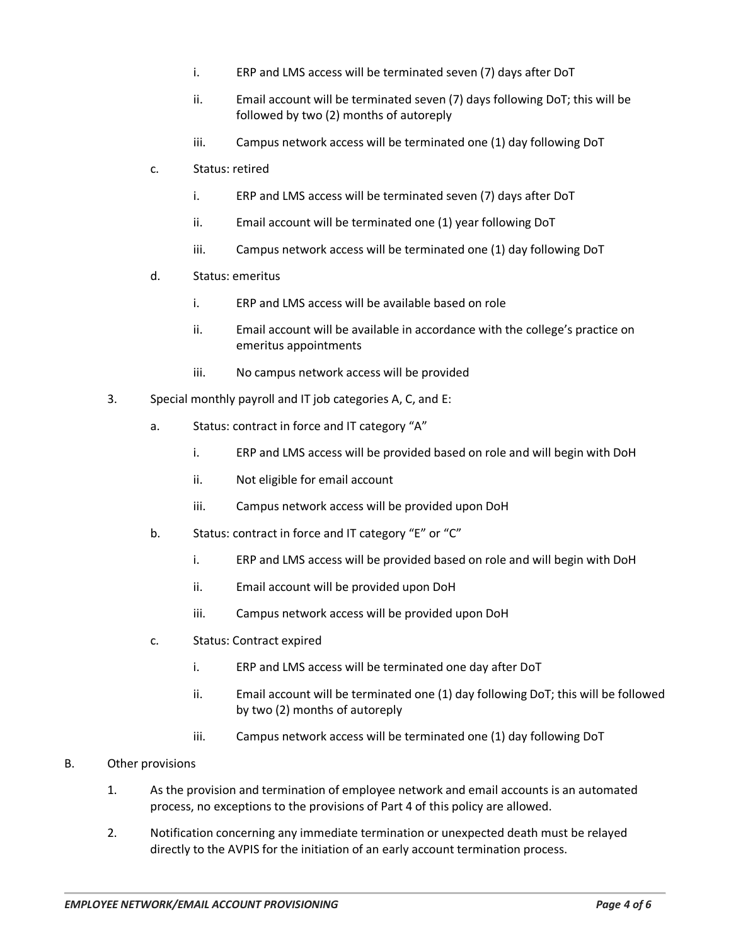- i. ERP and LMS access will be terminated seven (7) days after DoT
- ii. Email account will be terminated seven (7) days following DoT; this will be followed by two (2) months of autoreply
- iii. Campus network access will be terminated one (1) day following DoT
- c. Status: retired
	- i. ERP and LMS access will be terminated seven (7) days after DoT
	- ii. Email account will be terminated one (1) year following DoT
	- iii. Campus network access will be terminated one (1) day following DoT
- d. Status: emeritus
	- i. ERP and LMS access will be available based on role
	- ii. Email account will be available in accordance with the college's practice on emeritus appointments
	- iii. No campus network access will be provided
- 3. Special monthly payroll and IT job categories A, C, and E:
	- a. Status: contract in force and IT category "A"
		- i. ERP and LMS access will be provided based on role and will begin with DoH
		- ii. Not eligible for email account
		- iii. Campus network access will be provided upon DoH
	- b. Status: contract in force and IT category "E" or "C"
		- i. ERP and LMS access will be provided based on role and will begin with DoH
		- ii. Email account will be provided upon DoH
		- iii. Campus network access will be provided upon DoH
	- c. Status: Contract expired
		- i. ERP and LMS access will be terminated one day after DoT
		- ii. Email account will be terminated one (1) day following DoT; this will be followed by two (2) months of autoreply
		- iii. Campus network access will be terminated one (1) day following DoT
- B. Other provisions
	- 1. As the provision and termination of employee network and email accounts is an automated process, no exceptions to the provisions of Part 4 of this policy are allowed.
	- 2. Notification concerning any immediate termination or unexpected death must be relayed directly to the AVPIS for the initiation of an early account termination process.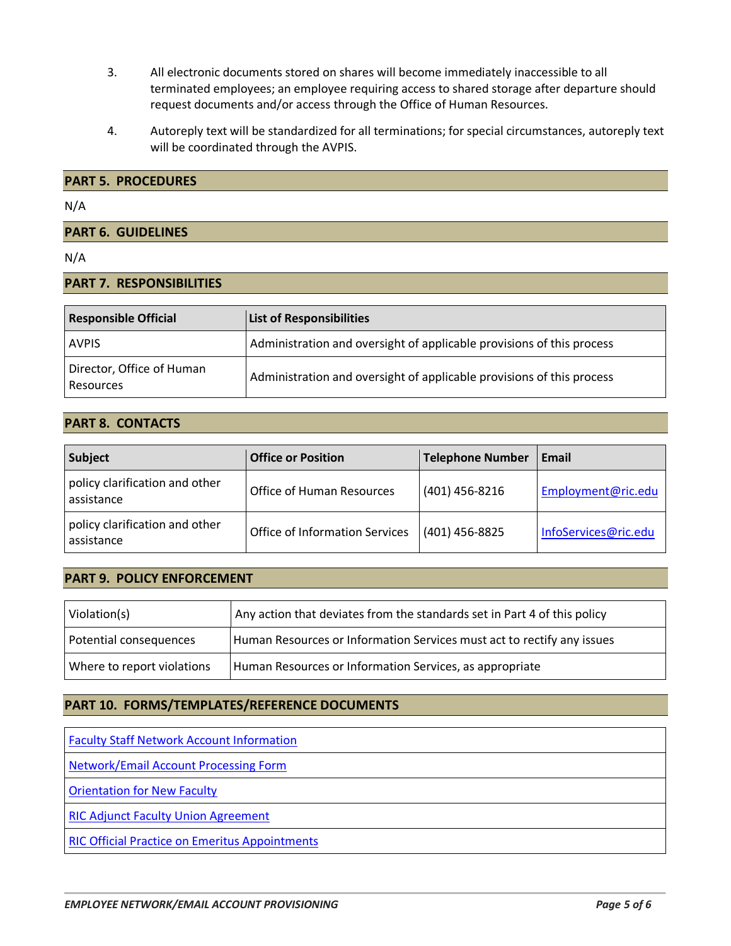- 3. All electronic documents stored on shares will become immediately inaccessible to all terminated employees; an employee requiring access to shared storage after departure should request documents and/or access through the Office of Human Resources.
- 4. Autoreply text will be standardized for all terminations; for special circumstances, autoreply text will be coordinated through the AVPIS.

#### **PART 5. PROCEDURES**

#### N/A

#### **PART 6. GUIDELINES**

#### N/A

#### **PART 7. RESPONSIBILITIES**

| <b>Responsible Official</b>            | <b>List of Responsibilities</b>                                       |
|----------------------------------------|-----------------------------------------------------------------------|
| <b>AVPIS</b>                           | Administration and oversight of applicable provisions of this process |
| Director, Office of Human<br>Resources | Administration and oversight of applicable provisions of this process |

#### **PART 8. CONTACTS**

| <b>Subject</b>                               | <b>Office or Position</b>             | <b>Telephone Number</b> | Email                |
|----------------------------------------------|---------------------------------------|-------------------------|----------------------|
| policy clarification and other<br>assistance | <b>Office of Human Resources</b>      | $(401)$ 456-8216        | Employment@ric.edu   |
| policy clarification and other<br>assistance | <b>Office of Information Services</b> | (401) 456-8825          | InfoServices@ric.edu |

## **PART 9. POLICY ENFORCEMENT**

| Violation(s)               | Any action that deviates from the standards set in Part 4 of this policy |
|----------------------------|--------------------------------------------------------------------------|
| Potential consequences     | Human Resources or Information Services must act to rectify any issues   |
| Where to report violations | Human Resources or Information Services, as appropriate                  |

## **PART 10. FORMS/TEMPLATES/REFERENCE DOCUMENTS**

| <b>Faculty Staff Network Account Information</b>      |  |
|-------------------------------------------------------|--|
| Network/Email Account Processing Form                 |  |
| <b>Orientation for New Faculty</b>                    |  |
| <b>RIC Adjunct Faculty Union Agreement</b>            |  |
| <b>RIC Official Practice on Emeritus Appointments</b> |  |